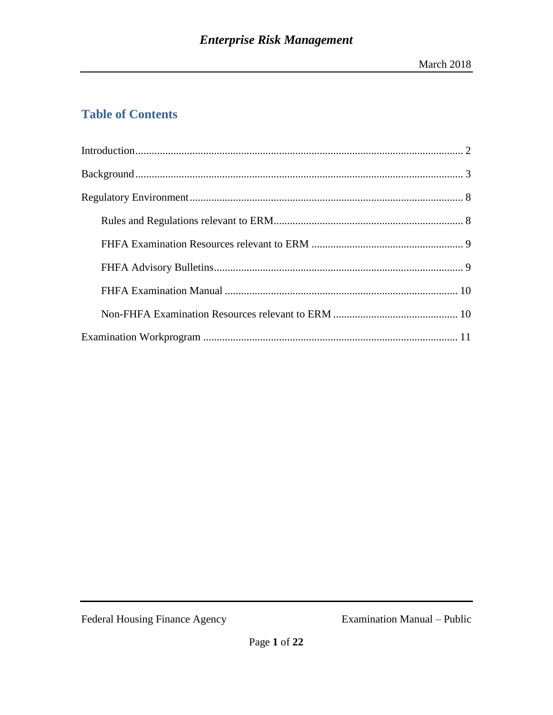# **Table of Contents**

Federal Housing Finance Agency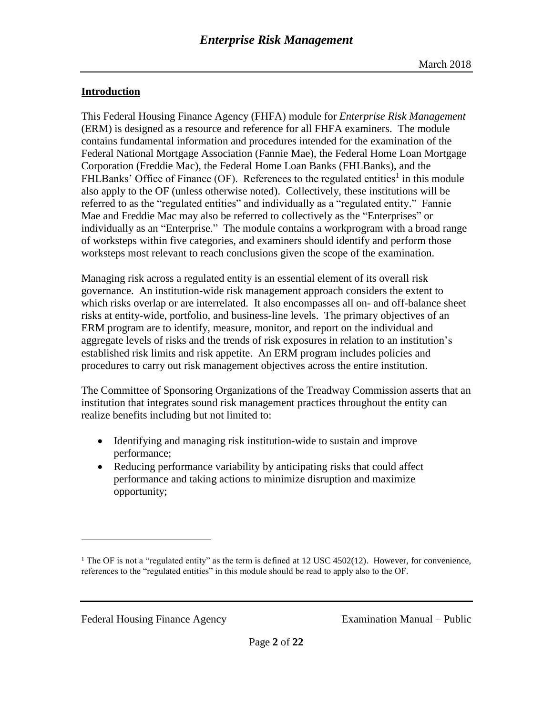# <span id="page-1-0"></span>**Introduction**

This Federal Housing Finance Agency (FHFA) module for *Enterprise Risk Management* (ERM) is designed as a resource and reference for all FHFA examiners. The module contains fundamental information and procedures intended for the examination of the Federal National Mortgage Association (Fannie Mae), the Federal Home Loan Mortgage Corporation (Freddie Mac), the Federal Home Loan Banks (FHLBanks), and the FHLBanks' Office of Finance (OF). References to the regulated entities<sup>1</sup> in this module also apply to the OF (unless otherwise noted). Collectively, these institutions will be referred to as the "regulated entities" and individually as a "regulated entity." Fannie Mae and Freddie Mac may also be referred to collectively as the "Enterprises" or individually as an "Enterprise." The module contains a workprogram with a broad range of worksteps within five categories, and examiners should identify and perform those worksteps most relevant to reach conclusions given the scope of the examination.

Managing risk across a regulated entity is an essential element of its overall risk governance. An institution-wide risk management approach considers the extent to which risks overlap or are interrelated. It also encompasses all on- and off-balance sheet risks at entity-wide, portfolio, and business-line levels. The primary objectives of an ERM program are to identify, measure, monitor, and report on the individual and aggregate levels of risks and the trends of risk exposures in relation to an institution's established risk limits and risk appetite. An ERM program includes policies and procedures to carry out risk management objectives across the entire institution.

The Committee of Sponsoring Organizations of the Treadway Commission asserts that an institution that integrates sound risk management practices throughout the entity can realize benefits including but not limited to:

- Identifying and managing risk institution-wide to sustain and improve performance;
- Reducing performance variability by anticipating risks that could affect performance and taking actions to minimize disruption and maximize opportunity;

Federal Housing Finance Agency Examination Manual – Public

 $\overline{a}$ 

<sup>&</sup>lt;sup>1</sup> The OF is not a "regulated entity" as the term is defined at 12 USC 4502(12). However, for convenience, references to the "regulated entities" in this module should be read to apply also to the OF.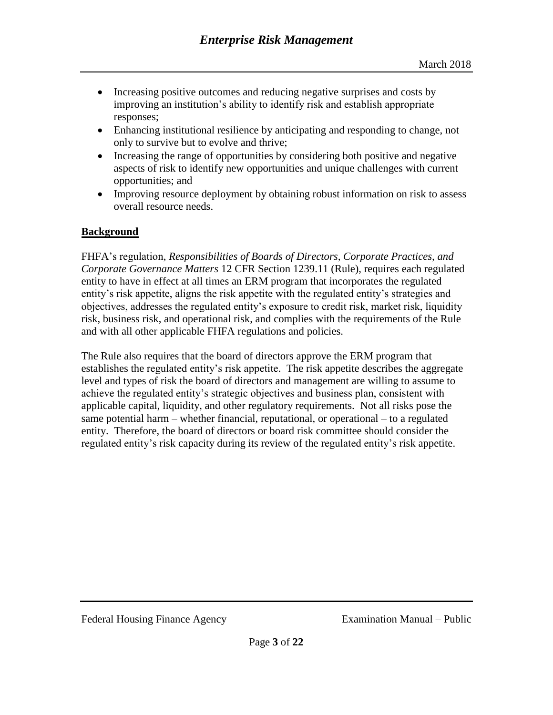- Increasing positive outcomes and reducing negative surprises and costs by improving an institution's ability to identify risk and establish appropriate responses;
- Enhancing institutional resilience by anticipating and responding to change, not only to survive but to evolve and thrive;
- Increasing the range of opportunities by considering both positive and negative aspects of risk to identify new opportunities and unique challenges with current opportunities; and
- Improving resource deployment by obtaining robust information on risk to assess overall resource needs.

## <span id="page-2-0"></span>**Background**

FHFA's regulation, *Responsibilities of Boards of Directors, Corporate Practices, and Corporate Governance Matters* 12 CFR Section 1239.11 (Rule), requires each regulated entity to have in effect at all times an ERM program that incorporates the regulated entity's risk appetite, aligns the risk appetite with the regulated entity's strategies and objectives, addresses the regulated entity's exposure to credit risk, market risk, liquidity risk, business risk, and operational risk, and complies with the requirements of the Rule and with all other applicable FHFA regulations and policies.

The Rule also requires that the board of directors approve the ERM program that establishes the regulated entity's risk appetite. The risk appetite describes the aggregate level and types of risk the board of directors and management are willing to assume to achieve the regulated entity's strategic objectives and business plan, consistent with applicable capital, liquidity, and other regulatory requirements. Not all risks pose the same potential harm – whether financial, reputational, or operational – to a regulated entity. Therefore, the board of directors or board risk committee should consider the regulated entity's risk capacity during its review of the regulated entity's risk appetite.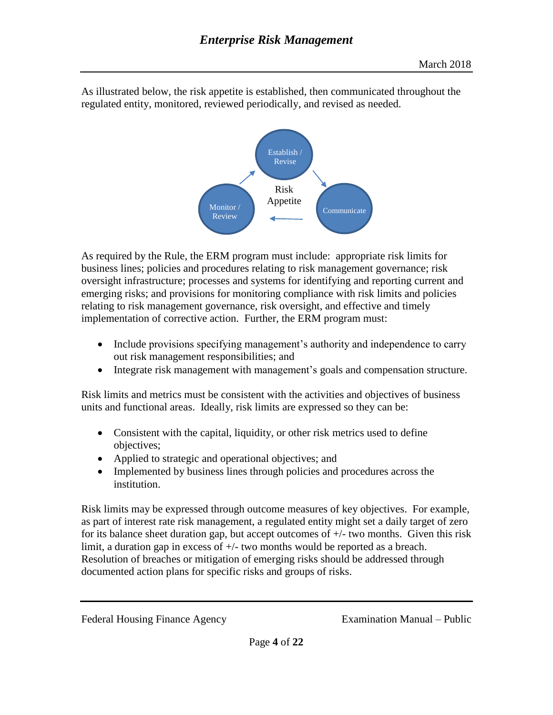

As illustrated below, the risk appetite is established, then communicated throughout the regulated entity, monitored, reviewed periodically, and revised as needed.

As required by the Rule, the ERM program must include: appropriate risk limits for business lines; policies and procedures relating to risk management governance; risk oversight infrastructure; processes and systems for identifying and reporting current and emerging risks; and provisions for monitoring compliance with risk limits and policies relating to risk management governance, risk oversight, and effective and timely implementation of corrective action. Further, the ERM program must:

- Include provisions specifying management's authority and independence to carry out risk management responsibilities; and
- Integrate risk management with management's goals and compensation structure.

Risk limits and metrics must be consistent with the activities and objectives of business units and functional areas. Ideally, risk limits are expressed so they can be:

- Consistent with the capital, liquidity, or other risk metrics used to define objectives;
- Applied to strategic and operational objectives; and
- Implemented by business lines through policies and procedures across the institution.

Risk limits may be expressed through outcome measures of key objectives. For example, as part of interest rate risk management, a regulated entity might set a daily target of zero for its balance sheet duration gap, but accept outcomes of  $+/-$  two months. Given this risk limit, a duration gap in excess of +/- two months would be reported as a breach. Resolution of breaches or mitigation of emerging risks should be addressed through documented action plans for specific risks and groups of risks.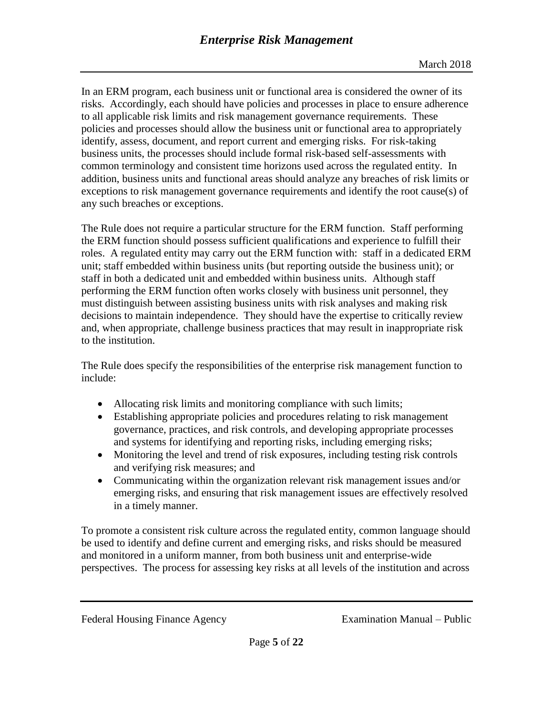In an ERM program, each business unit or functional area is considered the owner of its risks. Accordingly, each should have policies and processes in place to ensure adherence to all applicable risk limits and risk management governance requirements. These policies and processes should allow the business unit or functional area to appropriately identify, assess, document, and report current and emerging risks. For risk-taking business units, the processes should include formal risk-based self-assessments with common terminology and consistent time horizons used across the regulated entity. In addition, business units and functional areas should analyze any breaches of risk limits or exceptions to risk management governance requirements and identify the root cause(s) of any such breaches or exceptions.

The Rule does not require a particular structure for the ERM function. Staff performing the ERM function should possess sufficient qualifications and experience to fulfill their roles. A regulated entity may carry out the ERM function with: staff in a dedicated ERM unit; staff embedded within business units (but reporting outside the business unit); or staff in both a dedicated unit and embedded within business units. Although staff performing the ERM function often works closely with business unit personnel, they must distinguish between assisting business units with risk analyses and making risk decisions to maintain independence. They should have the expertise to critically review and, when appropriate, challenge business practices that may result in inappropriate risk to the institution.

The Rule does specify the responsibilities of the enterprise risk management function to include:

- Allocating risk limits and monitoring compliance with such limits;
- Establishing appropriate policies and procedures relating to risk management governance, practices, and risk controls, and developing appropriate processes and systems for identifying and reporting risks, including emerging risks;
- Monitoring the level and trend of risk exposures, including testing risk controls and verifying risk measures; and
- Communicating within the organization relevant risk management issues and/or emerging risks, and ensuring that risk management issues are effectively resolved in a timely manner.

To promote a consistent risk culture across the regulated entity, common language should be used to identify and define current and emerging risks, and risks should be measured and monitored in a uniform manner, from both business unit and enterprise-wide perspectives. The process for assessing key risks at all levels of the institution and across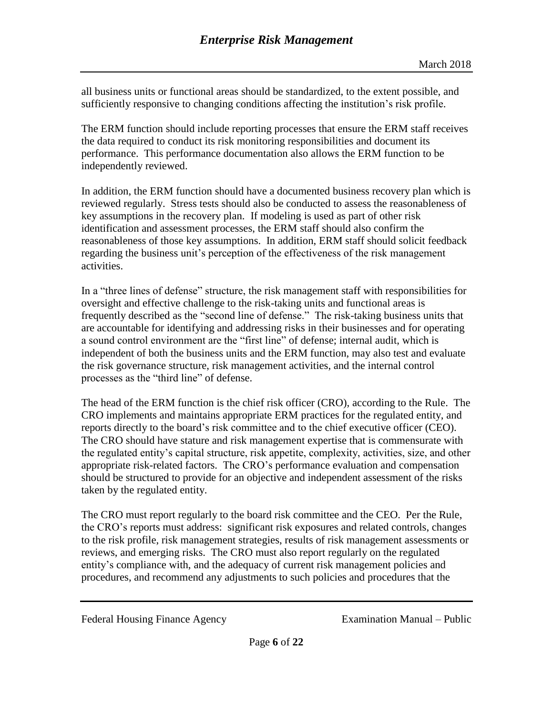all business units or functional areas should be standardized, to the extent possible, and sufficiently responsive to changing conditions affecting the institution's risk profile.

The ERM function should include reporting processes that ensure the ERM staff receives the data required to conduct its risk monitoring responsibilities and document its performance. This performance documentation also allows the ERM function to be independently reviewed.

In addition, the ERM function should have a documented business recovery plan which is reviewed regularly. Stress tests should also be conducted to assess the reasonableness of key assumptions in the recovery plan. If modeling is used as part of other risk identification and assessment processes, the ERM staff should also confirm the reasonableness of those key assumptions. In addition, ERM staff should solicit feedback regarding the business unit's perception of the effectiveness of the risk management activities.

In a "three lines of defense" structure, the risk management staff with responsibilities for oversight and effective challenge to the risk-taking units and functional areas is frequently described as the "second line of defense." The risk-taking business units that are accountable for identifying and addressing risks in their businesses and for operating a sound control environment are the "first line" of defense; internal audit, which is independent of both the business units and the ERM function, may also test and evaluate the risk governance structure, risk management activities, and the internal control processes as the "third line" of defense.

The head of the ERM function is the chief risk officer (CRO), according to the Rule. The CRO implements and maintains appropriate ERM practices for the regulated entity, and reports directly to the board's risk committee and to the chief executive officer (CEO). The CRO should have stature and risk management expertise that is commensurate with the regulated entity's capital structure, risk appetite, complexity, activities, size, and other appropriate risk-related factors. The CRO's performance evaluation and compensation should be structured to provide for an objective and independent assessment of the risks taken by the regulated entity.

The CRO must report regularly to the board risk committee and the CEO. Per the Rule, the CRO's reports must address: significant risk exposures and related controls, changes to the risk profile, risk management strategies, results of risk management assessments or reviews, and emerging risks. The CRO must also report regularly on the regulated entity's compliance with, and the adequacy of current risk management policies and procedures, and recommend any adjustments to such policies and procedures that the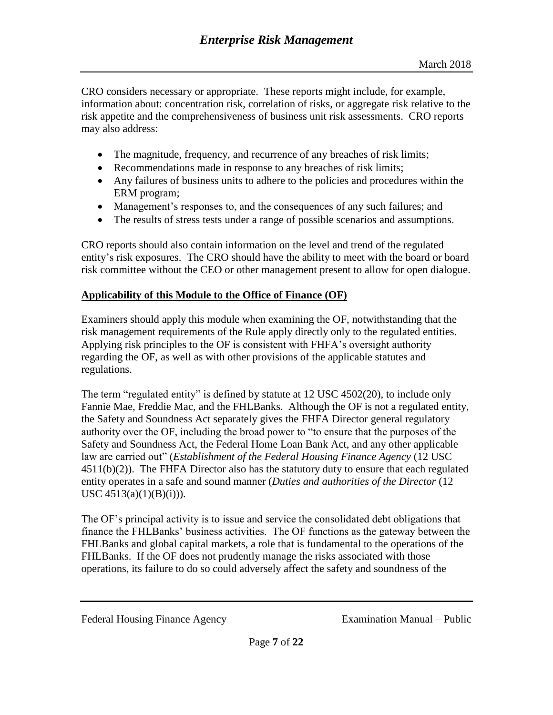CRO considers necessary or appropriate. These reports might include, for example, information about: concentration risk, correlation of risks, or aggregate risk relative to the risk appetite and the comprehensiveness of business unit risk assessments. CRO reports may also address:

- The magnitude, frequency, and recurrence of any breaches of risk limits;
- Recommendations made in response to any breaches of risk limits;
- Any failures of business units to adhere to the policies and procedures within the ERM program;
- Management's responses to, and the consequences of any such failures; and
- The results of stress tests under a range of possible scenarios and assumptions.

CRO reports should also contain information on the level and trend of the regulated entity's risk exposures. The CRO should have the ability to meet with the board or board risk committee without the CEO or other management present to allow for open dialogue.

## **Applicability of this Module to the Office of Finance (OF)**

Examiners should apply this module when examining the OF, notwithstanding that the risk management requirements of the Rule apply directly only to the regulated entities. Applying risk principles to the OF is consistent with FHFA's oversight authority regarding the OF, as well as with other provisions of the applicable statutes and regulations.

The term "regulated entity" is defined by statute at 12 USC 4502(20), to include only Fannie Mae, Freddie Mac, and the FHLBanks. Although the OF is not a regulated entity, the Safety and Soundness Act separately gives the FHFA Director general regulatory authority over the OF, including the broad power to "to ensure that the purposes of the Safety and Soundness Act, the Federal Home Loan Bank Act, and any other applicable law are carried out" (*Establishment of the Federal Housing Finance Agency* (12 USC  $4511(b)(2)$ ). The FHFA Director also has the statutory duty to ensure that each regulated entity operates in a safe and sound manner (*Duties and authorities of the Director* (12 USC 4513(a)(1)(B)(i))).

The OF's principal activity is to issue and service the consolidated debt obligations that finance the FHLBanks' business activities. The OF functions as the gateway between the FHLBanks and global capital markets, a role that is fundamental to the operations of the FHLBanks. If the OF does not prudently manage the risks associated with those operations, its failure to do so could adversely affect the safety and soundness of the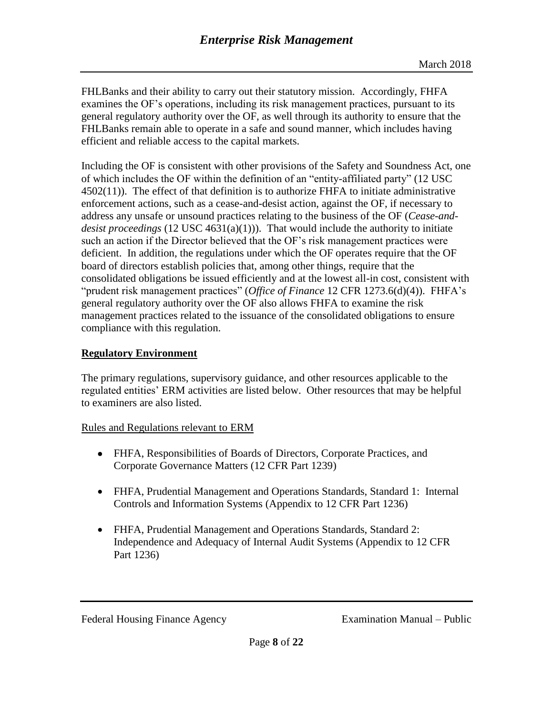FHLBanks and their ability to carry out their statutory mission. Accordingly, FHFA examines the OF's operations, including its risk management practices, pursuant to its general regulatory authority over the OF, as well through its authority to ensure that the FHLBanks remain able to operate in a safe and sound manner, which includes having efficient and reliable access to the capital markets.

Including the OF is consistent with other provisions of the Safety and Soundness Act, one of which includes the OF within the definition of an "entity-affiliated party" (12 USC 4502(11)). The effect of that definition is to authorize FHFA to initiate administrative enforcement actions, such as a cease-and-desist action, against the OF, if necessary to address any unsafe or unsound practices relating to the business of the OF (*Cease-anddesist proceedings* (12 USC 4631(a)(1))). That would include the authority to initiate such an action if the Director believed that the OF's risk management practices were deficient. In addition, the regulations under which the OF operates require that the OF board of directors establish policies that, among other things, require that the consolidated obligations be issued efficiently and at the lowest all-in cost, consistent with "prudent risk management practices" (*Office of Finance* 12 CFR 1273.6(d)(4)). FHFA's general regulatory authority over the OF also allows FHFA to examine the risk management practices related to the issuance of the consolidated obligations to ensure compliance with this regulation.

# <span id="page-7-0"></span>**Regulatory Environment**

The primary regulations, supervisory guidance, and other resources applicable to the regulated entities' ERM activities are listed below. Other resources that may be helpful to examiners are also listed.

## <span id="page-7-1"></span>Rules and Regulations relevant to ERM

- FHFA, Responsibilities of Boards of Directors, Corporate Practices, and Corporate Governance Matters (12 CFR Part 1239)
- FHFA, Prudential Management and Operations Standards, Standard 1: Internal Controls and Information Systems (Appendix to 12 CFR Part 1236)
- FHFA, Prudential Management and Operations Standards, Standard 2: Independence and Adequacy of Internal Audit Systems (Appendix to 12 CFR Part 1236)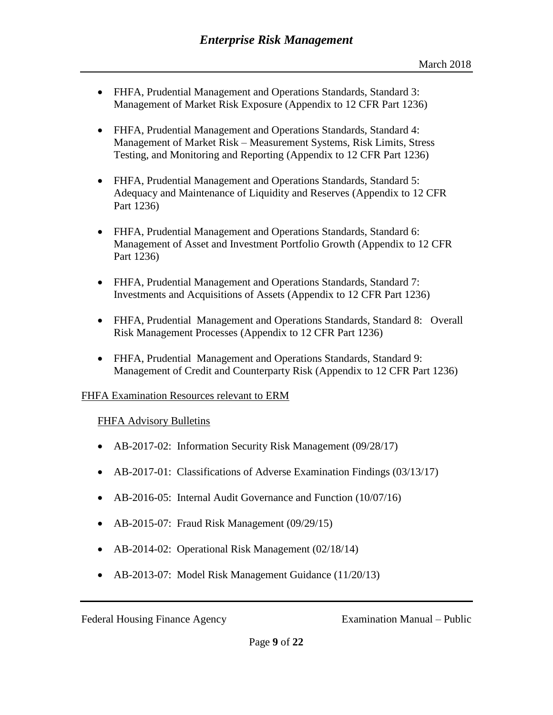- FHFA, Prudential Management and Operations Standards, Standard 3: Management of Market Risk Exposure (Appendix to 12 CFR Part 1236)
- FHFA, Prudential Management and Operations Standards, Standard 4: Management of Market Risk – Measurement Systems, Risk Limits, Stress Testing, and Monitoring and Reporting (Appendix to 12 CFR Part 1236)
- FHFA, Prudential Management and Operations Standards, Standard 5: Adequacy and Maintenance of Liquidity and Reserves (Appendix to 12 CFR Part 1236)
- FHFA, Prudential Management and Operations Standards, Standard 6: Management of Asset and Investment Portfolio Growth (Appendix to 12 CFR Part 1236)
- FHFA, Prudential Management and Operations Standards, Standard 7: Investments and Acquisitions of Assets (Appendix to 12 CFR Part 1236)
- FHFA, Prudential Management and Operations Standards, Standard 8: Overall Risk Management Processes (Appendix to 12 CFR Part 1236)
- FHFA, Prudential Management and Operations Standards, Standard 9: Management of Credit and Counterparty Risk (Appendix to 12 CFR Part 1236)

## <span id="page-8-1"></span><span id="page-8-0"></span>FHFA Examination Resources relevant to ERM

## FHFA Advisory Bulletins

- AB-2017-02: Information Security Risk Management (09/28/17)
- AB-2017-01: Classifications of Adverse Examination Findings (03/13/17)
- AB-2016-05: Internal Audit Governance and Function (10/07/16)
- AB-2015-07: Fraud Risk Management (09/29/15)
- AB-2014-02: Operational Risk Management (02/18/14)
- AB-2013-07: Model Risk Management Guidance (11/20/13)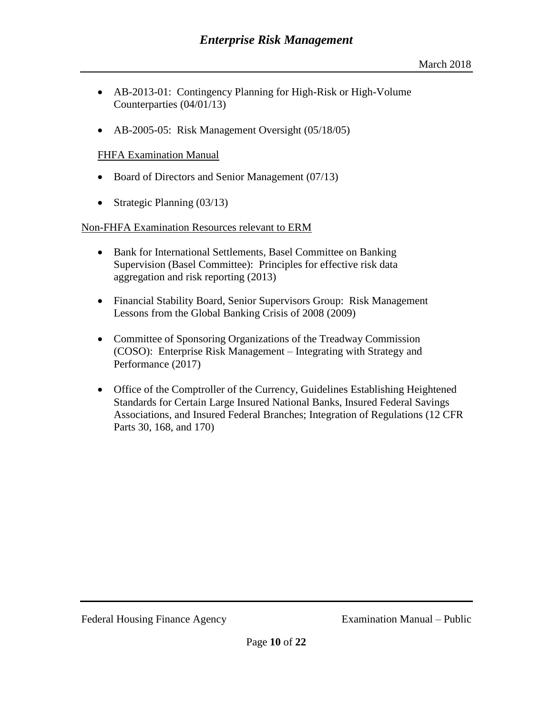- AB-2013-01: Contingency Planning for High-Risk or High-Volume Counterparties (04/01/13)
- AB-2005-05: Risk Management Oversight (05/18/05)

#### <span id="page-9-0"></span>FHFA Examination Manual

- Board of Directors and Senior Management (07/13)
- Strategic Planning (03/13)

#### <span id="page-9-1"></span>Non-FHFA Examination Resources relevant to ERM

- Bank for International Settlements, Basel Committee on Banking Supervision (Basel Committee): Principles for effective risk data aggregation and risk reporting (2013)
- Financial Stability Board, Senior Supervisors Group: Risk Management Lessons from the Global Banking Crisis of 2008 (2009)
- Committee of Sponsoring Organizations of the Treadway Commission (COSO): Enterprise Risk Management – Integrating with Strategy and Performance (2017)
- <span id="page-9-2"></span>• Office of the Comptroller of the Currency, Guidelines Establishing Heightened Standards for Certain Large Insured National Banks, Insured Federal Savings Associations, and Insured Federal Branches; Integration of Regulations (12 CFR Parts 30, 168, and 170)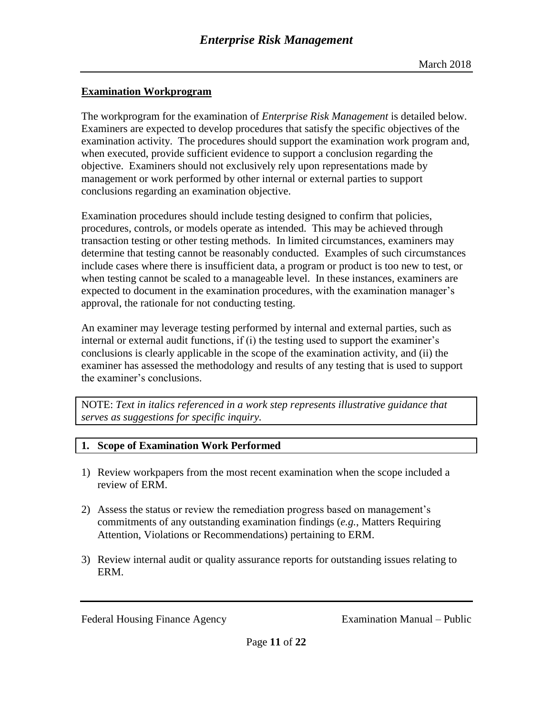# **Examination Workprogram**

The workprogram for the examination of *Enterprise Risk Management* is detailed below. Examiners are expected to develop procedures that satisfy the specific objectives of the examination activity. The procedures should support the examination work program and, when executed, provide sufficient evidence to support a conclusion regarding the objective. Examiners should not exclusively rely upon representations made by management or work performed by other internal or external parties to support conclusions regarding an examination objective.

Examination procedures should include testing designed to confirm that policies, procedures, controls, or models operate as intended. This may be achieved through transaction testing or other testing methods. In limited circumstances, examiners may determine that testing cannot be reasonably conducted. Examples of such circumstances include cases where there is insufficient data, a program or product is too new to test, or when testing cannot be scaled to a manageable level. In these instances, examiners are expected to document in the examination procedures, with the examination manager's approval, the rationale for not conducting testing.

An examiner may leverage testing performed by internal and external parties, such as internal or external audit functions, if (i) the testing used to support the examiner's conclusions is clearly applicable in the scope of the examination activity, and (ii) the examiner has assessed the methodology and results of any testing that is used to support the examiner's conclusions.

NOTE: *Text in italics referenced in a work step represents illustrative guidance that serves as suggestions for specific inquiry.*

## **1. Scope of Examination Work Performed**

- 1) Review workpapers from the most recent examination when the scope included a review of ERM.
- 2) Assess the status or review the remediation progress based on management's commitments of any outstanding examination findings (*e.g.*, Matters Requiring Attention, Violations or Recommendations) pertaining to ERM.
- 3) Review internal audit or quality assurance reports for outstanding issues relating to ERM.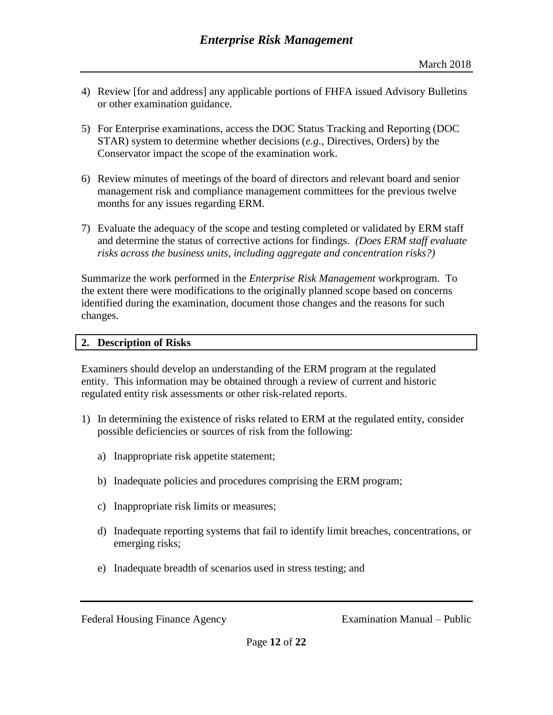- 4) Review [for and address] any applicable portions of FHFA issued Advisory Bulletins or other examination guidance.
- 5) For Enterprise examinations, access the DOC Status Tracking and Reporting (DOC STAR) system to determine whether decisions (*e.g.*, Directives, Orders) by the Conservator impact the scope of the examination work.
- 6) Review minutes of meetings of the board of directors and relevant board and senior management risk and compliance management committees for the previous twelve months for any issues regarding ERM.
- 7) Evaluate the adequacy of the scope and testing completed or validated by ERM staff and determine the status of corrective actions for findings. *(Does ERM staff evaluate risks across the business units, including aggregate and concentration risks?)*

Summarize the work performed in the *Enterprise Risk Management* workprogram. To the extent there were modifications to the originally planned scope based on concerns identified during the examination, document those changes and the reasons for such changes.

## **2. Description of Risks**

Examiners should develop an understanding of the ERM program at the regulated entity. This information may be obtained through a review of current and historic regulated entity risk assessments or other risk-related reports.

- 1) In determining the existence of risks related to ERM at the regulated entity, consider possible deficiencies or sources of risk from the following:
	- a) Inappropriate risk appetite statement;
	- b) Inadequate policies and procedures comprising the ERM program;
	- c) Inappropriate risk limits or measures;
	- d) Inadequate reporting systems that fail to identify limit breaches, concentrations, or emerging risks;
	- e) Inadequate breadth of scenarios used in stress testing; and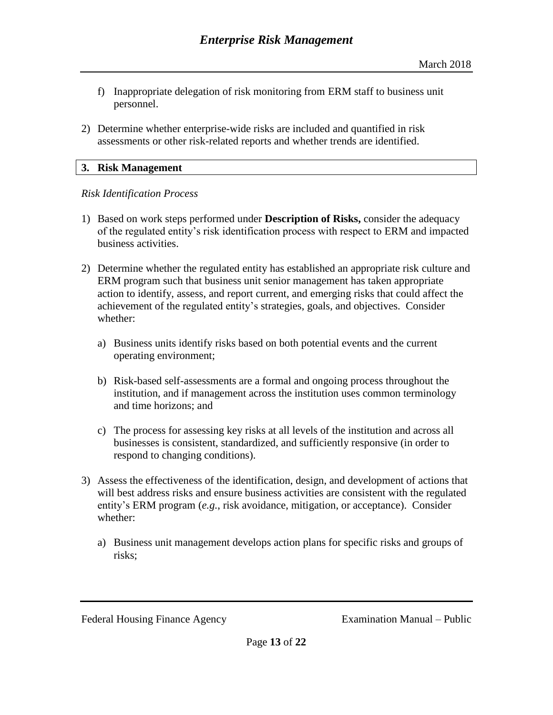- f) Inappropriate delegation of risk monitoring from ERM staff to business unit personnel.
- 2) Determine whether enterprise-wide risks are included and quantified in risk assessments or other risk-related reports and whether trends are identified.

#### **3. Risk Management**

#### *Risk Identification Process*

- 1) Based on work steps performed under **Description of Risks,** consider the adequacy of the regulated entity's risk identification process with respect to ERM and impacted business activities.
- 2) Determine whether the regulated entity has established an appropriate risk culture and ERM program such that business unit senior management has taken appropriate action to identify, assess, and report current, and emerging risks that could affect the achievement of the regulated entity's strategies, goals, and objectives. Consider whether:
	- a) Business units identify risks based on both potential events and the current operating environment;
	- b) Risk-based self-assessments are a formal and ongoing process throughout the institution, and if management across the institution uses common terminology and time horizons; and
	- c) The process for assessing key risks at all levels of the institution and across all businesses is consistent, standardized, and sufficiently responsive (in order to respond to changing conditions).
- 3) Assess the effectiveness of the identification, design, and development of actions that will best address risks and ensure business activities are consistent with the regulated entity's ERM program (*e.g.*, risk avoidance, mitigation, or acceptance). Consider whether:
	- a) Business unit management develops action plans for specific risks and groups of risks;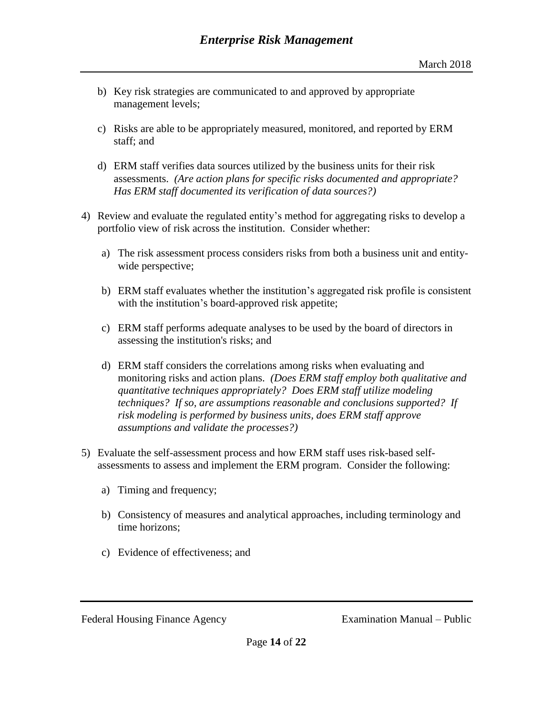- b) Key risk strategies are communicated to and approved by appropriate management levels;
- c) Risks are able to be appropriately measured, monitored, and reported by ERM staff; and
- d) ERM staff verifies data sources utilized by the business units for their risk assessments. *(Are action plans for specific risks documented and appropriate? Has ERM staff documented its verification of data sources?)*
- 4) Review and evaluate the regulated entity's method for aggregating risks to develop a portfolio view of risk across the institution. Consider whether:
	- a) The risk assessment process considers risks from both a business unit and entitywide perspective;
	- b) ERM staff evaluates whether the institution's aggregated risk profile is consistent with the institution's board-approved risk appetite;
	- c) ERM staff performs adequate analyses to be used by the board of directors in assessing the institution's risks; and
	- d) ERM staff considers the correlations among risks when evaluating and monitoring risks and action plans. *(Does ERM staff employ both qualitative and quantitative techniques appropriately? Does ERM staff utilize modeling techniques? If so, are assumptions reasonable and conclusions supported? If risk modeling is performed by business units, does ERM staff approve assumptions and validate the processes?)*
- 5) Evaluate the self-assessment process and how ERM staff uses risk-based selfassessments to assess and implement the ERM program. Consider the following:
	- a) Timing and frequency;
	- b) Consistency of measures and analytical approaches, including terminology and time horizons;
	- c) Evidence of effectiveness; and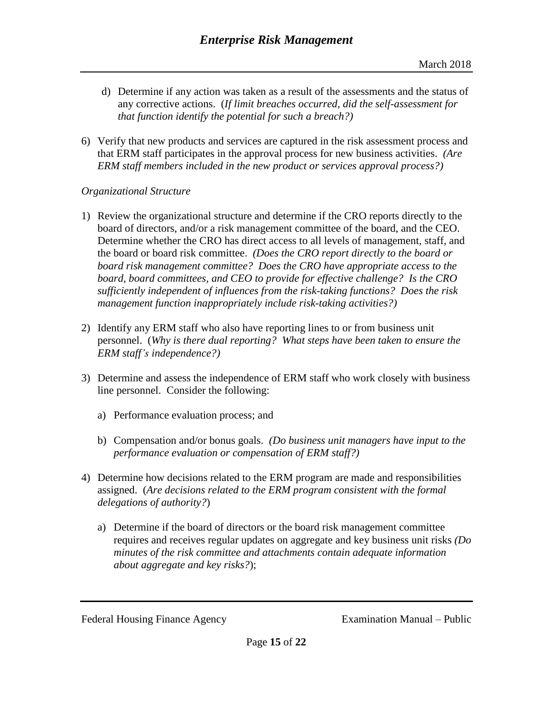- d) Determine if any action was taken as a result of the assessments and the status of any corrective actions. (*If limit breaches occurred, did the self-assessment for that function identify the potential for such a breach?)*
- 6) Verify that new products and services are captured in the risk assessment process and that ERM staff participates in the approval process for new business activities. *(Are ERM staff members included in the new product or services approval process?)*

## *Organizational Structure*

- 1) Review the organizational structure and determine if the CRO reports directly to the board of directors, and/or a risk management committee of the board, and the CEO. Determine whether the CRO has direct access to all levels of management, staff, and the board or board risk committee. *(Does the CRO report directly to the board or board risk management committee? Does the CRO have appropriate access to the board, board committees, and CEO to provide for effective challenge? Is the CRO sufficiently independent of influences from the risk-taking functions? Does the risk management function inappropriately include risk-taking activities?)*
- 2) Identify any ERM staff who also have reporting lines to or from business unit personnel. (*Why is there dual reporting? What steps have been taken to ensure the ERM staff's independence?)*
- 3) Determine and assess the independence of ERM staff who work closely with business line personnel. Consider the following:
	- a) Performance evaluation process; and
	- b) Compensation and/or bonus goals. *(Do business unit managers have input to the performance evaluation or compensation of ERM staff?)*
- 4) Determine how decisions related to the ERM program are made and responsibilities assigned. (*Are decisions related to the ERM program consistent with the formal delegations of authority?*)
	- a) Determine if the board of directors or the board risk management committee requires and receives regular updates on aggregate and key business unit risks *(Do minutes of the risk committee and attachments contain adequate information about aggregate and key risks?*);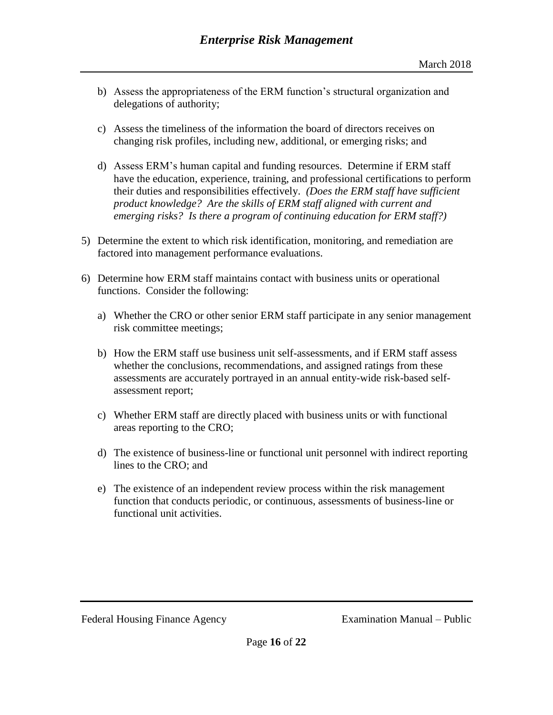- b) Assess the appropriateness of the ERM function's structural organization and delegations of authority;
- c) Assess the timeliness of the information the board of directors receives on changing risk profiles, including new, additional, or emerging risks; and
- d) Assess ERM's human capital and funding resources. Determine if ERM staff have the education, experience, training, and professional certifications to perform their duties and responsibilities effectively. *(Does the ERM staff have sufficient product knowledge? Are the skills of ERM staff aligned with current and emerging risks? Is there a program of continuing education for ERM staff?)*
- 5) Determine the extent to which risk identification, monitoring, and remediation are factored into management performance evaluations.
- 6) Determine how ERM staff maintains contact with business units or operational functions. Consider the following:
	- a) Whether the CRO or other senior ERM staff participate in any senior management risk committee meetings;
	- b) How the ERM staff use business unit self-assessments, and if ERM staff assess whether the conclusions, recommendations, and assigned ratings from these assessments are accurately portrayed in an annual entity-wide risk-based selfassessment report;
	- c) Whether ERM staff are directly placed with business units or with functional areas reporting to the CRO;
	- d) The existence of business-line or functional unit personnel with indirect reporting lines to the CRO; and
	- e) The existence of an independent review process within the risk management function that conducts periodic, or continuous, assessments of business-line or functional unit activities.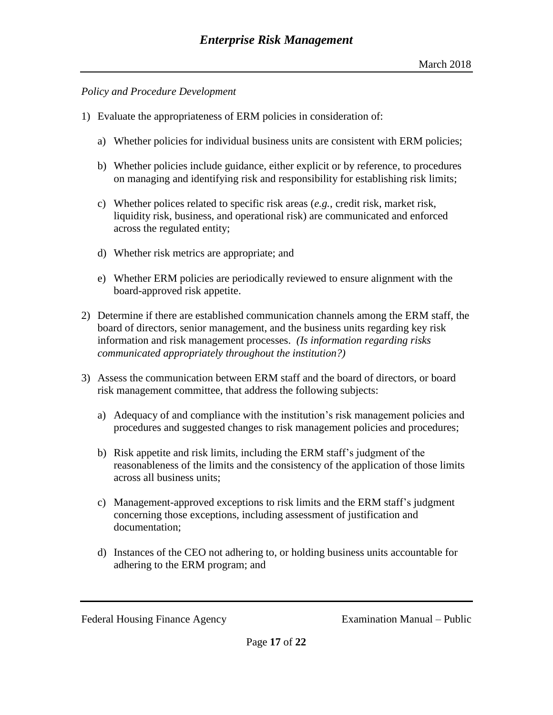#### *Policy and Procedure Development*

- 1) Evaluate the appropriateness of ERM policies in consideration of:
	- a) Whether policies for individual business units are consistent with ERM policies;
	- b) Whether policies include guidance, either explicit or by reference, to procedures on managing and identifying risk and responsibility for establishing risk limits;
	- c) Whether polices related to specific risk areas (*e.g.*, credit risk, market risk, liquidity risk, business, and operational risk) are communicated and enforced across the regulated entity;
	- d) Whether risk metrics are appropriate; and
	- e) Whether ERM policies are periodically reviewed to ensure alignment with the board-approved risk appetite.
- 2) Determine if there are established communication channels among the ERM staff, the board of directors, senior management, and the business units regarding key risk information and risk management processes. *(Is information regarding risks communicated appropriately throughout the institution?)*
- 3) Assess the communication between ERM staff and the board of directors, or board risk management committee, that address the following subjects:
	- a) Adequacy of and compliance with the institution's risk management policies and procedures and suggested changes to risk management policies and procedures;
	- b) Risk appetite and risk limits, including the ERM staff's judgment of the reasonableness of the limits and the consistency of the application of those limits across all business units;
	- c) Management-approved exceptions to risk limits and the ERM staff's judgment concerning those exceptions, including assessment of justification and documentation;
	- d) Instances of the CEO not adhering to, or holding business units accountable for adhering to the ERM program; and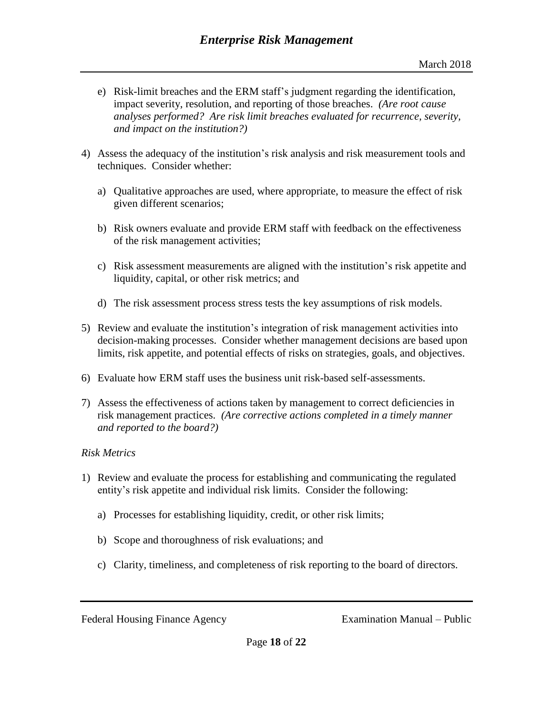- e) Risk-limit breaches and the ERM staff's judgment regarding the identification, impact severity, resolution, and reporting of those breaches. *(Are root cause analyses performed? Are risk limit breaches evaluated for recurrence, severity, and impact on the institution?)*
- 4) Assess the adequacy of the institution's risk analysis and risk measurement tools and techniques. Consider whether:
	- a) Qualitative approaches are used, where appropriate, to measure the effect of risk given different scenarios;
	- b) Risk owners evaluate and provide ERM staff with feedback on the effectiveness of the risk management activities;
	- c) Risk assessment measurements are aligned with the institution's risk appetite and liquidity, capital, or other risk metrics; and
	- d) The risk assessment process stress tests the key assumptions of risk models.
- 5) Review and evaluate the institution's integration of risk management activities into decision-making processes. Consider whether management decisions are based upon limits, risk appetite, and potential effects of risks on strategies, goals, and objectives.
- 6) Evaluate how ERM staff uses the business unit risk-based self-assessments.
- 7) Assess the effectiveness of actions taken by management to correct deficiencies in risk management practices. *(Are corrective actions completed in a timely manner and reported to the board?)*

## *Risk Metrics*

- 1) Review and evaluate the process for establishing and communicating the regulated entity's risk appetite and individual risk limits. Consider the following:
	- a) Processes for establishing liquidity, credit, or other risk limits;
	- b) Scope and thoroughness of risk evaluations; and
	- c) Clarity, timeliness, and completeness of risk reporting to the board of directors.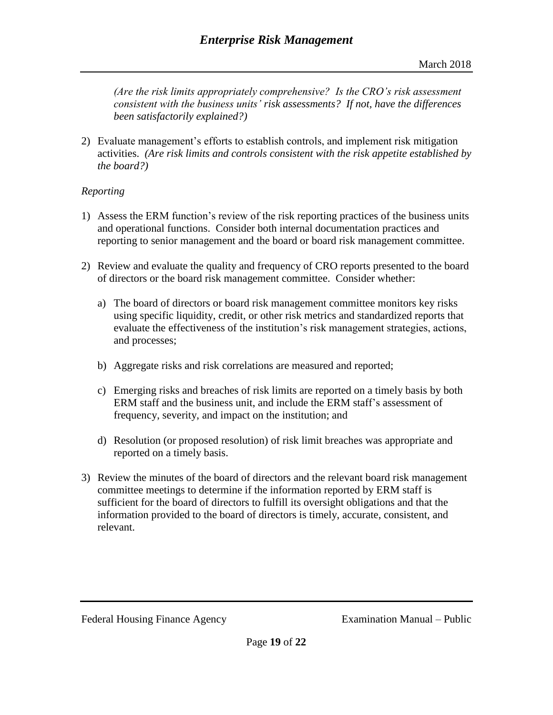*(Are the risk limits appropriately comprehensive? Is the CRO's risk assessment consistent with the business units' risk assessments? If not, have the differences been satisfactorily explained?)*

2) Evaluate management's efforts to establish controls, and implement risk mitigation activities. *(Are risk limits and controls consistent with the risk appetite established by the board?)*

# *Reporting*

- 1) Assess the ERM function's review of the risk reporting practices of the business units and operational functions. Consider both internal documentation practices and reporting to senior management and the board or board risk management committee.
- 2) Review and evaluate the quality and frequency of CRO reports presented to the board of directors or the board risk management committee. Consider whether:
	- a) The board of directors or board risk management committee monitors key risks using specific liquidity, credit, or other risk metrics and standardized reports that evaluate the effectiveness of the institution's risk management strategies, actions, and processes;
	- b) Aggregate risks and risk correlations are measured and reported;
	- c) Emerging risks and breaches of risk limits are reported on a timely basis by both ERM staff and the business unit, and include the ERM staff's assessment of frequency, severity, and impact on the institution; and
	- d) Resolution (or proposed resolution) of risk limit breaches was appropriate and reported on a timely basis.
- 3) Review the minutes of the board of directors and the relevant board risk management committee meetings to determine if the information reported by ERM staff is sufficient for the board of directors to fulfill its oversight obligations and that the information provided to the board of directors is timely, accurate, consistent, and relevant.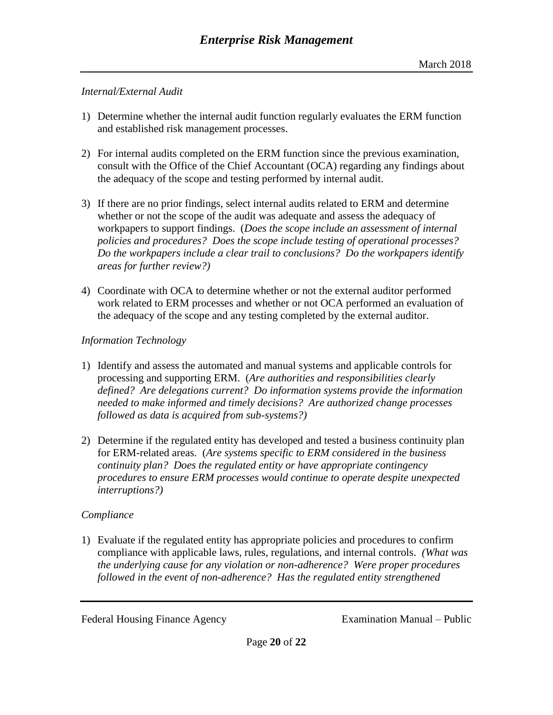#### *Internal/External Audit*

- 1) Determine whether the internal audit function regularly evaluates the ERM function and established risk management processes.
- 2) For internal audits completed on the ERM function since the previous examination, consult with the Office of the Chief Accountant (OCA) regarding any findings about the adequacy of the scope and testing performed by internal audit.
- 3) If there are no prior findings, select internal audits related to ERM and determine whether or not the scope of the audit was adequate and assess the adequacy of workpapers to support findings. (*Does the scope include an assessment of internal policies and procedures? Does the scope include testing of operational processes? Do the workpapers include a clear trail to conclusions? Do the workpapers identify areas for further review?)*
- 4) Coordinate with OCA to determine whether or not the external auditor performed work related to ERM processes and whether or not OCA performed an evaluation of the adequacy of the scope and any testing completed by the external auditor.

## *Information Technology*

- 1) Identify and assess the automated and manual systems and applicable controls for processing and supporting ERM. (*Are authorities and responsibilities clearly defined? Are delegations current? Do information systems provide the information needed to make informed and timely decisions? Are authorized change processes followed as data is acquired from sub-systems?)*
- 2) Determine if the regulated entity has developed and tested a business continuity plan for ERM-related areas. (*Are systems specific to ERM considered in the business continuity plan? Does the regulated entity or have appropriate contingency procedures to ensure ERM processes would continue to operate despite unexpected interruptions?)*

## *Compliance*

1) Evaluate if the regulated entity has appropriate policies and procedures to confirm compliance with applicable laws, rules, regulations, and internal controls. *(What was the underlying cause for any violation or non-adherence? Were proper procedures followed in the event of non-adherence? Has the regulated entity strengthened*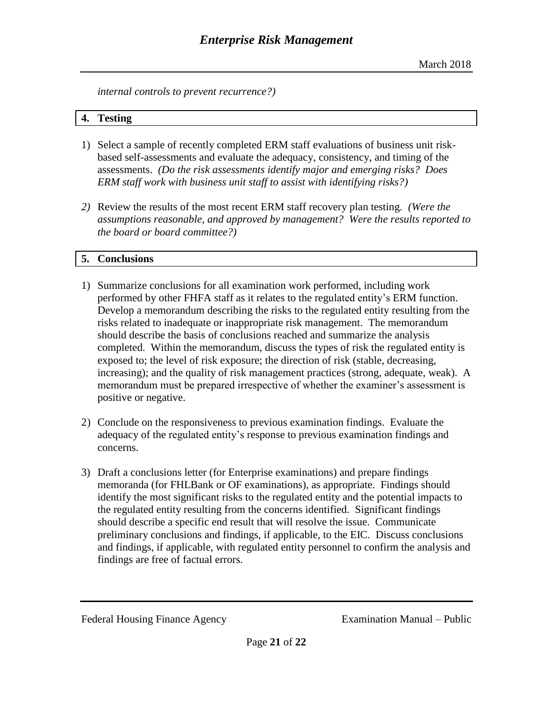*internal controls to prevent recurrence?)*

#### **4. Testing**

- 1) Select a sample of recently completed ERM staff evaluations of business unit riskbased self-assessments and evaluate the adequacy, consistency, and timing of the assessments. *(Do the risk assessments identify major and emerging risks? Does ERM staff work with business unit staff to assist with identifying risks?)*
- *2)* Review the results of the most recent ERM staff recovery plan testing. *(Were the assumptions reasonable, and approved by management? Were the results reported to the board or board committee?)*

# **5. Conclusions**

- 1) Summarize conclusions for all examination work performed, including work performed by other FHFA staff as it relates to the regulated entity's ERM function. Develop a memorandum describing the risks to the regulated entity resulting from the risks related to inadequate or inappropriate risk management. The memorandum should describe the basis of conclusions reached and summarize the analysis completed. Within the memorandum, discuss the types of risk the regulated entity is exposed to; the level of risk exposure; the direction of risk (stable, decreasing, increasing); and the quality of risk management practices (strong, adequate, weak). A memorandum must be prepared irrespective of whether the examiner's assessment is positive or negative.
- 2) Conclude on the responsiveness to previous examination findings. Evaluate the adequacy of the regulated entity's response to previous examination findings and concerns.
- 3) Draft a conclusions letter (for Enterprise examinations) and prepare findings memoranda (for FHLBank or OF examinations), as appropriate. Findings should identify the most significant risks to the regulated entity and the potential impacts to the regulated entity resulting from the concerns identified. Significant findings should describe a specific end result that will resolve the issue. Communicate preliminary conclusions and findings, if applicable, to the EIC. Discuss conclusions and findings, if applicable, with regulated entity personnel to confirm the analysis and findings are free of factual errors.